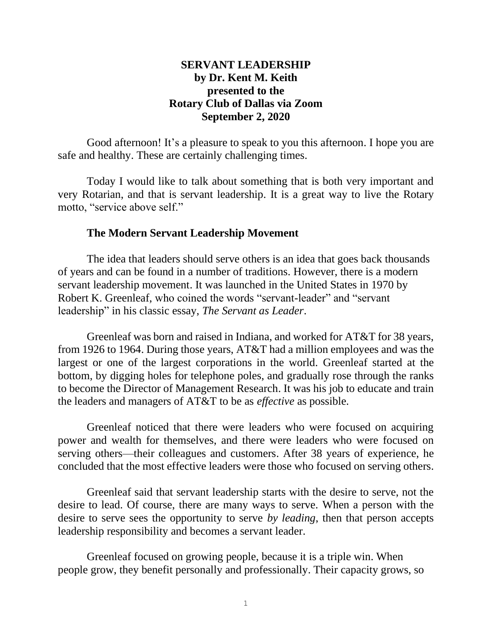# **SERVANT LEADERSHIP by Dr. Kent M. Keith presented to the Rotary Club of Dallas via Zoom September 2, 2020**

Good afternoon! It's a pleasure to speak to you this afternoon. I hope you are safe and healthy. These are certainly challenging times.

Today I would like to talk about something that is both very important and very Rotarian, and that is servant leadership. It is a great way to live the Rotary motto, "service above self."

#### **The Modern Servant Leadership Movement**

The idea that leaders should serve others is an idea that goes back thousands of years and can be found in a number of traditions. However, there is a modern servant leadership movement. It was launched in the United States in 1970 by Robert K. Greenleaf, who coined the words "servant-leader" and "servant leadership" in his classic essay, *The Servant as Leader*.

Greenleaf was born and raised in Indiana, and worked for AT&T for 38 years, from 1926 to 1964. During those years, AT&T had a million employees and was the largest or one of the largest corporations in the world. Greenleaf started at the bottom, by digging holes for telephone poles, and gradually rose through the ranks to become the Director of Management Research. It was his job to educate and train the leaders and managers of AT&T to be as *effective* as possible.

Greenleaf noticed that there were leaders who were focused on acquiring power and wealth for themselves, and there were leaders who were focused on serving others—their colleagues and customers. After 38 years of experience, he concluded that the most effective leaders were those who focused on serving others.

Greenleaf said that servant leadership starts with the desire to serve, not the desire to lead. Of course, there are many ways to serve. When a person with the desire to serve sees the opportunity to serve *by leading*, then that person accepts leadership responsibility and becomes a servant leader.

Greenleaf focused on growing people, because it is a triple win. When people grow, they benefit personally and professionally. Their capacity grows, so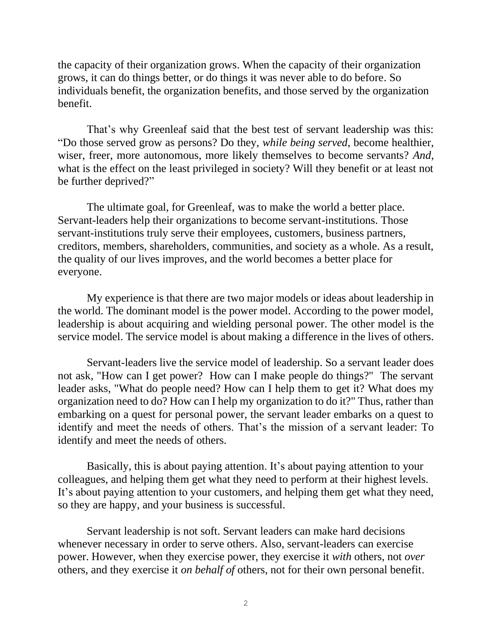the capacity of their organization grows. When the capacity of their organization grows, it can do things better, or do things it was never able to do before. So individuals benefit, the organization benefits, and those served by the organization benefit.

That's why Greenleaf said that the best test of servant leadership was this: "Do those served grow as persons? Do they, *while being served*, become healthier, wiser, freer, more autonomous, more likely themselves to become servants? *And*, what is the effect on the least privileged in society? Will they benefit or at least not be further deprived?"

The ultimate goal, for Greenleaf, was to make the world a better place. Servant-leaders help their organizations to become servant-institutions. Those servant-institutions truly serve their employees, customers, business partners, creditors, members, shareholders, communities, and society as a whole. As a result, the quality of our lives improves, and the world becomes a better place for everyone.

My experience is that there are two major models or ideas about leadership in the world. The dominant model is the power model. According to the power model, leadership is about acquiring and wielding personal power. The other model is the service model. The service model is about making a difference in the lives of others.

Servant-leaders live the service model of leadership. So a servant leader does not ask, "How can I get power? How can I make people do things?" The servant leader asks, "What do people need? How can I help them to get it? What does my organization need to do? How can I help my organization to do it?" Thus, rather than embarking on a quest for personal power, the servant leader embarks on a quest to identify and meet the needs of others. That's the mission of a servant leader: To identify and meet the needs of others.

Basically, this is about paying attention. It's about paying attention to your colleagues, and helping them get what they need to perform at their highest levels. It's about paying attention to your customers, and helping them get what they need, so they are happy, and your business is successful.

Servant leadership is not soft. Servant leaders can make hard decisions whenever necessary in order to serve others. Also, servant-leaders can exercise power. However, when they exercise power, they exercise it *with* others, not *over* others, and they exercise it *on behalf of* others, not for their own personal benefit.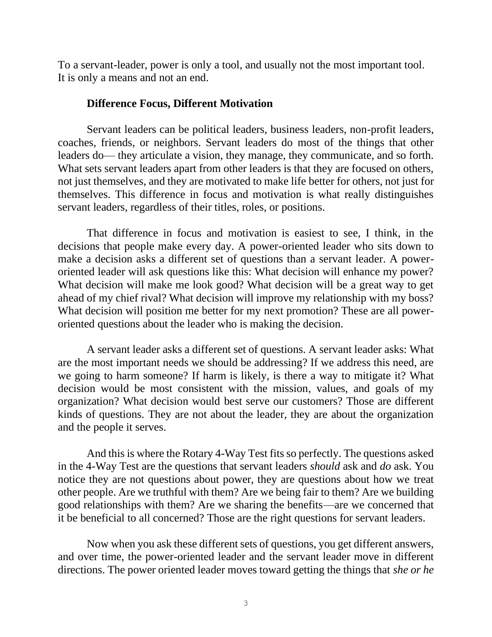To a servant-leader, power is only a tool, and usually not the most important tool. It is only a means and not an end.

#### **Difference Focus, Different Motivation**

Servant leaders can be political leaders, business leaders, non-profit leaders, coaches, friends, or neighbors. Servant leaders do most of the things that other leaders do— they articulate a vision, they manage, they communicate, and so forth. What sets servant leaders apart from other leaders is that they are focused on others, not just themselves, and they are motivated to make life better for others, not just for themselves. This difference in focus and motivation is what really distinguishes servant leaders, regardless of their titles, roles, or positions.

That difference in focus and motivation is easiest to see, I think, in the decisions that people make every day. A power-oriented leader who sits down to make a decision asks a different set of questions than a servant leader. A poweroriented leader will ask questions like this: What decision will enhance my power? What decision will make me look good? What decision will be a great way to get ahead of my chief rival? What decision will improve my relationship with my boss? What decision will position me better for my next promotion? These are all poweroriented questions about the leader who is making the decision.

A servant leader asks a different set of questions. A servant leader asks: What are the most important needs we should be addressing? If we address this need, are we going to harm someone? If harm is likely, is there a way to mitigate it? What decision would be most consistent with the mission, values, and goals of my organization? What decision would best serve our customers? Those are different kinds of questions. They are not about the leader, they are about the organization and the people it serves.

And this is where the Rotary 4-Way Test fits so perfectly. The questions asked in the 4-Way Test are the questions that servant leaders *should* ask and *do* ask. You notice they are not questions about power, they are questions about how we treat other people. Are we truthful with them? Are we being fair to them? Are we building good relationships with them? Are we sharing the benefits—are we concerned that it be beneficial to all concerned? Those are the right questions for servant leaders.

Now when you ask these different sets of questions, you get different answers, and over time, the power-oriented leader and the servant leader move in different directions. The power oriented leader moves toward getting the things that *she or he*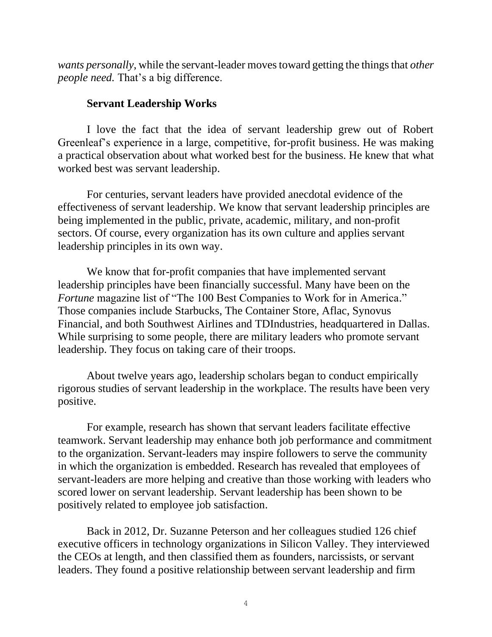*wants personally*, while the servant-leader moves toward getting the things that *other people need.* That's a big difference.

## **Servant Leadership Works**

I love the fact that the idea of servant leadership grew out of Robert Greenleaf's experience in a large, competitive, for-profit business. He was making a practical observation about what worked best for the business. He knew that what worked best was servant leadership.

For centuries, servant leaders have provided anecdotal evidence of the effectiveness of servant leadership. We know that servant leadership principles are being implemented in the public, private, academic, military, and non-profit sectors. Of course, every organization has its own culture and applies servant leadership principles in its own way.

We know that for-profit companies that have implemented servant leadership principles have been financially successful. Many have been on the *Fortune* magazine list of "The 100 Best Companies to Work for in America." Those companies include Starbucks, The Container Store, Aflac, Synovus Financial, and both Southwest Airlines and TDIndustries, headquartered in Dallas. While surprising to some people, there are military leaders who promote servant leadership. They focus on taking care of their troops.

About twelve years ago, leadership scholars began to conduct empirically rigorous studies of servant leadership in the workplace. The results have been very positive.

For example, research has shown that servant leaders facilitate effective teamwork. Servant leadership may enhance both job performance and commitment to the organization. Servant-leaders may inspire followers to serve the community in which the organization is embedded. Research has revealed that employees of servant-leaders are more helping and creative than those working with leaders who scored lower on servant leadership. Servant leadership has been shown to be positively related to employee job satisfaction.

Back in 2012, Dr. Suzanne Peterson and her colleagues studied 126 chief executive officers in technology organizations in Silicon Valley. They interviewed the CEOs at length, and then classified them as founders, narcissists, or servant leaders. They found a positive relationship between servant leadership and firm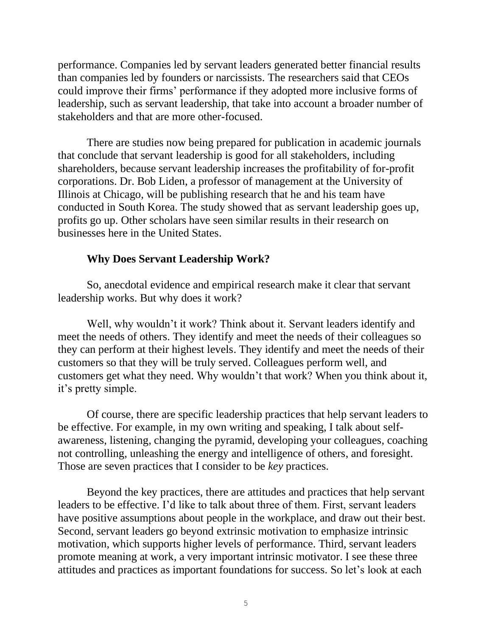performance. Companies led by servant leaders generated better financial results than companies led by founders or narcissists. The researchers said that CEOs could improve their firms' performance if they adopted more inclusive forms of leadership, such as servant leadership, that take into account a broader number of stakeholders and that are more other-focused.

There are studies now being prepared for publication in academic journals that conclude that servant leadership is good for all stakeholders, including shareholders, because servant leadership increases the profitability of for-profit corporations. Dr. Bob Liden, a professor of management at the University of Illinois at Chicago, will be publishing research that he and his team have conducted in South Korea. The study showed that as servant leadership goes up, profits go up. Other scholars have seen similar results in their research on businesses here in the United States.

#### **Why Does Servant Leadership Work?**

So, anecdotal evidence and empirical research make it clear that servant leadership works. But why does it work?

Well, why wouldn't it work? Think about it. Servant leaders identify and meet the needs of others. They identify and meet the needs of their colleagues so they can perform at their highest levels. They identify and meet the needs of their customers so that they will be truly served. Colleagues perform well, and customers get what they need. Why wouldn't that work? When you think about it, it's pretty simple.

Of course, there are specific leadership practices that help servant leaders to be effective. For example, in my own writing and speaking, I talk about selfawareness, listening, changing the pyramid, developing your colleagues, coaching not controlling, unleashing the energy and intelligence of others, and foresight. Those are seven practices that I consider to be *key* practices.

Beyond the key practices, there are attitudes and practices that help servant leaders to be effective. I'd like to talk about three of them. First, servant leaders have positive assumptions about people in the workplace, and draw out their best. Second, servant leaders go beyond extrinsic motivation to emphasize intrinsic motivation, which supports higher levels of performance. Third, servant leaders promote meaning at work, a very important intrinsic motivator. I see these three attitudes and practices as important foundations for success. So let's look at each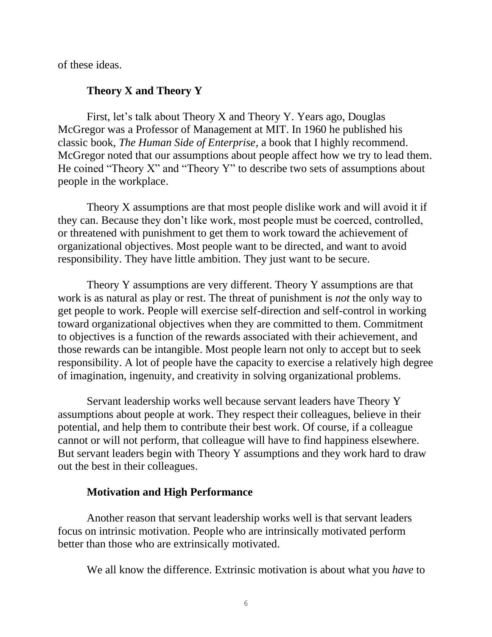of these ideas.

## **Theory X and Theory Y**

First, let's talk about Theory X and Theory Y. Years ago, Douglas McGregor was a Professor of Management at MIT. In 1960 he published his classic book, *The Human Side of Enterprise,* a book that I highly recommend. McGregor noted that our assumptions about people affect how we try to lead them. He coined "Theory X" and "Theory Y" to describe two sets of assumptions about people in the workplace.

Theory X assumptions are that most people dislike work and will avoid it if they can. Because they don't like work, most people must be coerced, controlled, or threatened with punishment to get them to work toward the achievement of organizational objectives. Most people want to be directed, and want to avoid responsibility. They have little ambition. They just want to be secure.

Theory Y assumptions are very different. Theory Y assumptions are that work is as natural as play or rest. The threat of punishment is *not* the only way to get people to work. People will exercise self-direction and self-control in working toward organizational objectives when they are committed to them. Commitment to objectives is a function of the rewards associated with their achievement, and those rewards can be intangible. Most people learn not only to accept but to seek responsibility. A lot of people have the capacity to exercise a relatively high degree of imagination, ingenuity, and creativity in solving organizational problems.

Servant leadership works well because servant leaders have Theory Y assumptions about people at work. They respect their colleagues, believe in their potential, and help them to contribute their best work. Of course, if a colleague cannot or will not perform, that colleague will have to find happiness elsewhere. But servant leaders begin with Theory Y assumptions and they work hard to draw out the best in their colleagues.

## **Motivation and High Performance**

Another reason that servant leadership works well is that servant leaders focus on intrinsic motivation. People who are intrinsically motivated perform better than those who are extrinsically motivated.

We all know the difference. Extrinsic motivation is about what you *have* to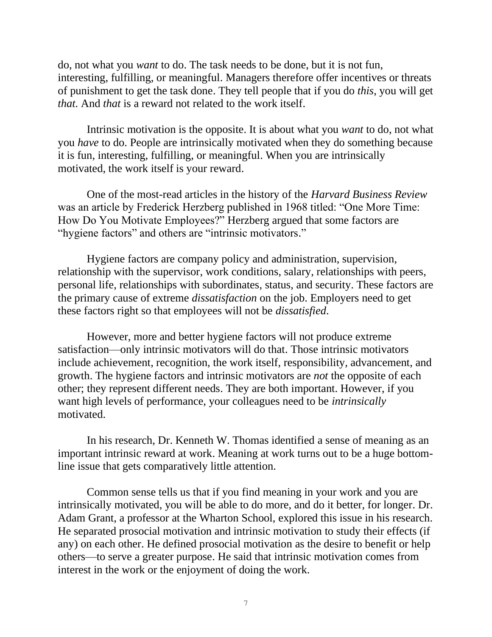do, not what you *want* to do. The task needs to be done, but it is not fun, interesting, fulfilling, or meaningful. Managers therefore offer incentives or threats of punishment to get the task done. They tell people that if you do *this*, you will get *that.* And *that* is a reward not related to the work itself.

Intrinsic motivation is the opposite. It is about what you *want* to do, not what you *have* to do. People are intrinsically motivated when they do something because it is fun, interesting, fulfilling, or meaningful. When you are intrinsically motivated, the work itself is your reward.

One of the most-read articles in the history of the *Harvard Business Review* was an article by Frederick Herzberg published in 1968 titled: "One More Time: How Do You Motivate Employees?" Herzberg argued that some factors are "hygiene factors" and others are "intrinsic motivators."

Hygiene factors are company policy and administration, supervision, relationship with the supervisor, work conditions, salary, relationships with peers, personal life, relationships with subordinates, status, and security. These factors are the primary cause of extreme *dissatisfaction* on the job. Employers need to get these factors right so that employees will not be *dissatisfied*.

However, more and better hygiene factors will not produce extreme satisfaction—only intrinsic motivators will do that. Those intrinsic motivators include achievement, recognition, the work itself, responsibility, advancement, and growth. The hygiene factors and intrinsic motivators are *not* the opposite of each other; they represent different needs. They are both important. However, if you want high levels of performance, your colleagues need to be *intrinsically* motivated.

In his research, Dr. Kenneth W. Thomas identified a sense of meaning as an important intrinsic reward at work. Meaning at work turns out to be a huge bottomline issue that gets comparatively little attention.

Common sense tells us that if you find meaning in your work and you are intrinsically motivated, you will be able to do more, and do it better, for longer. Dr. Adam Grant, a professor at the Wharton School, explored this issue in his research. He separated prosocial motivation and intrinsic motivation to study their effects (if any) on each other. He defined prosocial motivation as the desire to benefit or help others—to serve a greater purpose. He said that intrinsic motivation comes from interest in the work or the enjoyment of doing the work.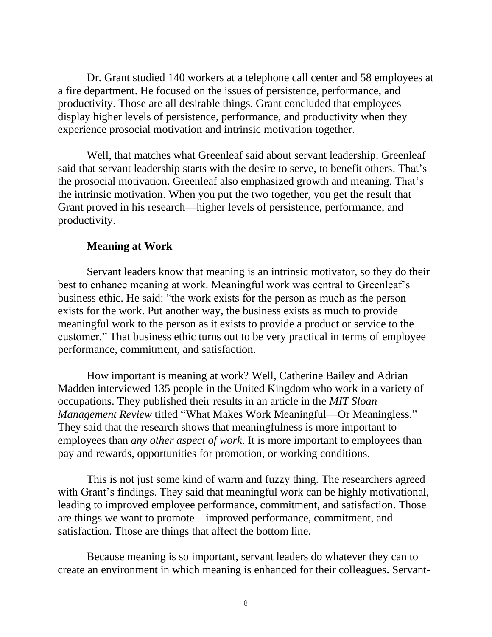Dr. Grant studied 140 workers at a telephone call center and 58 employees at a fire department. He focused on the issues of persistence, performance, and productivity. Those are all desirable things. Grant concluded that employees display higher levels of persistence, performance, and productivity when they experience prosocial motivation and intrinsic motivation together.

Well, that matches what Greenleaf said about servant leadership. Greenleaf said that servant leadership starts with the desire to serve, to benefit others. That's the prosocial motivation. Greenleaf also emphasized growth and meaning. That's the intrinsic motivation. When you put the two together, you get the result that Grant proved in his research—higher levels of persistence, performance, and productivity.

#### **Meaning at Work**

Servant leaders know that meaning is an intrinsic motivator, so they do their best to enhance meaning at work. Meaningful work was central to Greenleaf's business ethic. He said: "the work exists for the person as much as the person exists for the work. Put another way, the business exists as much to provide meaningful work to the person as it exists to provide a product or service to the customer." That business ethic turns out to be very practical in terms of employee performance, commitment, and satisfaction.

How important is meaning at work? Well, Catherine Bailey and Adrian Madden interviewed 135 people in the United Kingdom who work in a variety of occupations. They published their results in an article in the *MIT Sloan Management Review* titled "What Makes Work Meaningful—Or Meaningless." They said that the research shows that meaningfulness is more important to employees than *any other aspect of work*. It is more important to employees than pay and rewards, opportunities for promotion, or working conditions.

This is not just some kind of warm and fuzzy thing. The researchers agreed with Grant's findings. They said that meaningful work can be highly motivational, leading to improved employee performance, commitment, and satisfaction. Those are things we want to promote—improved performance, commitment, and satisfaction. Those are things that affect the bottom line.

Because meaning is so important, servant leaders do whatever they can to create an environment in which meaning is enhanced for their colleagues. Servant